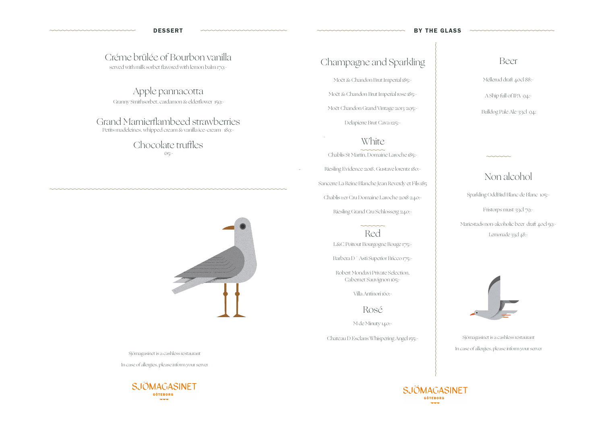# Champagne and Sparkling

Moët & Chandon Brut Imperial 185:-

Moët & Chandon Brut Imperial rose 185:-

Moët Chandon Grand Vintage 2013 295:-

Delapierre Brut Cava 125:-

## **White**

Chablis St Martin, Domaine Laroche 185:- Riesling Evidence 2018, Gustave lorentz 180:- Sancerre La Reine Blanche Jean Reverdy et Fils 185 Chablis 1:er Cru Domaine Laroche 2018 240:- Riesling Grand Cru Schlosserg 240:-

> Red L&C Poitout Bourgogne Rouge 175:-

 $\sim$ 

Barbera D<sup>'</sup> Asti Superior Bricco 175:-

Chocolate truffles  $65$ :-



Robert Mondavi Private Selection, Cabernet Sauvignon 165:-

Villa Antinori 160:-

Rosé

M de Minuty 140:-

Chateau D Esclans Whispering Angel 155:-



Sjömagasinet is a cashless restaurant In case of allergies, please inform your server

# Créme brûlée of Bourbon vanilla

served with milk sorbet flavored with lemon balm 179:-

Apple pannacotta Granny Smithsorbet, cardamon & elderflower 159:-

## Grand Marnierflambeed strawberries

Petits madeleines, whipped cream & vanilla ice-cream 189:-

Sjömagasinet is a cashless restaurant

In case of allergies, please inform your server



### Beer

Mellerud draft 40cl 88:-

A Ship full of IPA 94:-

Bulldog Pale Ale 33cl 94:

# Non alcohol

Sparkling OddBird Blanc de Blanc 105:-

Fristorps must 33cl 79:-

Mariestads non-alcoholic beer draft 40cl 59:- Lemonade 33cl 48:-



-

-